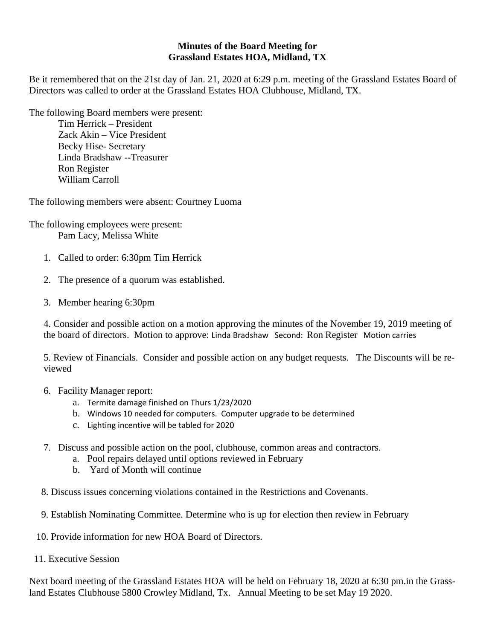## **Minutes of the Board Meeting for Grassland Estates HOA, Midland, TX**

Be it remembered that on the 21st day of Jan. 21, 2020 at 6:29 p.m. meeting of the Grassland Estates Board of Directors was called to order at the Grassland Estates HOA Clubhouse, Midland, TX.

The following Board members were present:

Tim Herrick – President Zack Akin – Vice President Becky Hise- Secretary Linda Bradshaw --Treasurer Ron Register William Carroll

The following members were absent: Courtney Luoma

The following employees were present:

Pam Lacy, Melissa White

- 1. Called to order: 6:30pm Tim Herrick
- 2. The presence of a quorum was established.
- 3. Member hearing 6:30pm

4. Consider and possible action on a motion approving the minutes of the November 19, 2019 meeting of the board of directors. Motion to approve: Linda Bradshaw Second: Ron Register Motion carries

5. Review of Financials. Consider and possible action on any budget requests. The Discounts will be reviewed

- 6. Facility Manager report:
	- a. Termite damage finished on Thurs 1/23/2020
	- b. Windows 10 needed for computers. Computer upgrade to be determined
	- c. Lighting incentive will be tabled for 2020
- 7. Discuss and possible action on the pool, clubhouse, common areas and contractors.
	- a. Pool repairs delayed until options reviewed in February
	- b. Yard of Month will continue

8. Discuss issues concerning violations contained in the Restrictions and Covenants.

9. Establish Nominating Committee. Determine who is up for election then review in February

10. Provide information for new HOA Board of Directors.

11. Executive Session

Next board meeting of the Grassland Estates HOA will be held on February 18, 2020 at 6:30 pm.in the Grassland Estates Clubhouse 5800 Crowley Midland, Tx. Annual Meeting to be set May 19 2020.